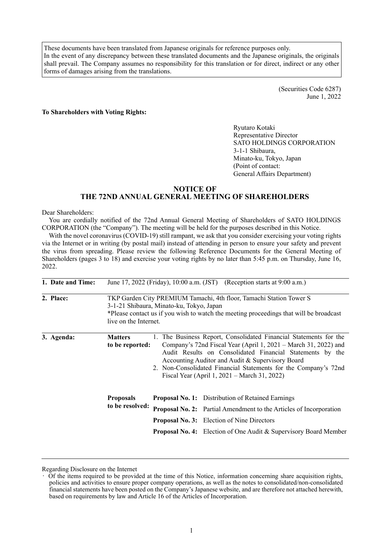These documents have been translated from Japanese originals for reference purposes only. In the event of any discrepancy between these translated documents and the Japanese originals, the originals shall prevail. The Company assumes no responsibility for this translation or for direct, indirect or any other forms of damages arising from the translations.

> (Securities Code 6287) June 1, 2022

#### **To Shareholders with Voting Rights:**

Ryutaro Kotaki Representative Director SATO HOLDINGS CORPORATION 3-1-1 Shibaura, Minato-ku, Tokyo, Japan (Point of contact: General Affairs Department)

# **NOTICE OF THE 72ND ANNUAL GENERAL MEETING OF SHAREHOLDERS**

#### Dear Shareholders:

You are cordially notified of the 72nd Annual General Meeting of Shareholders of SATO HOLDINGS CORPORATION (the "Company"). The meeting will be held for the purposes described in this Notice.

With the novel coronavirus (COVID-19) still rampant, we ask that you consider exercising your voting rights via the Internet or in writing (by postal mail) instead of attending in person to ensure your safety and prevent the virus from spreading. Please review the following Reference Documents for the General Meeting of Shareholders (pages 3 to 18) and exercise your voting rights by no later than 5:45 p.m. on Thursday, June 16, 2022.

| 1. Date and Time: |                                     |                                                                                                                                                                                                                                                                                                                                                                          | June 17, 2022 (Friday), 10:00 a.m. (JST) (Reception starts at 9:00 a.m.)                                                                                                                                                                                              |  |  |
|-------------------|-------------------------------------|--------------------------------------------------------------------------------------------------------------------------------------------------------------------------------------------------------------------------------------------------------------------------------------------------------------------------------------------------------------------------|-----------------------------------------------------------------------------------------------------------------------------------------------------------------------------------------------------------------------------------------------------------------------|--|--|
| 2. Place:         | live on the Internet.               | 3-1-21 Shibaura, Minato-ku, Tokyo, Japan                                                                                                                                                                                                                                                                                                                                 | TKP Garden City PREMIUM Tamachi, 4th floor, Tamachi Station Tower S<br>*Please contact us if you wish to watch the meeting proceedings that will be broadcast                                                                                                         |  |  |
| 3. Agenda:        | <b>Matters</b><br>to be reported:   | 1. The Business Report, Consolidated Financial Statements for the<br>Company's 72nd Fiscal Year (April 1, 2021 – March 31, 2022) and<br>Audit Results on Consolidated Financial Statements by the<br>Accounting Auditor and Audit & Supervisory Board<br>2. Non-Consolidated Financial Statements for the Company's 72nd<br>Fiscal Year (April 1, 2021 – March 31, 2022) |                                                                                                                                                                                                                                                                       |  |  |
|                   | <b>Proposals</b><br>to be resolved: |                                                                                                                                                                                                                                                                                                                                                                          | <b>Proposal No. 1:</b> Distribution of Retained Earnings<br><b>Proposal No. 2:</b> Partial Amendment to the Articles of Incorporation<br><b>Proposal No. 3:</b> Election of Nine Directors<br><b>Proposal No. 4:</b> Election of One Audit & Supervisory Board Member |  |  |

Regarding Disclosure on the Internet

<sup>•</sup> Of the items required to be provided at the time of this Notice, information concerning share acquisition rights, policies and activities to ensure proper company operations, as well as the notes to consolidated/non-consolidated financial statements have been posted on the Company's Japanese website, and are therefore not attached herewith, based on requirements by law and Article 16 of the Articles of Incorporation.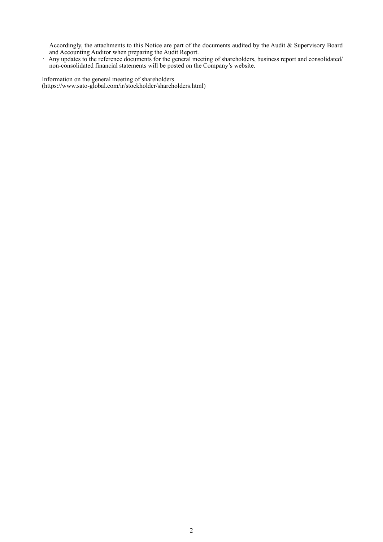Accordingly, the attachments to this Notice are part of the documents audited by the Audit & Supervisory Board and Accounting Auditor when preparing the Audit Report.

• Any updates to the reference documents for the general meeting of shareholders, business report and consolidated/ non-consolidated financial statements will be posted on the Company's website.

Information on the general meeting of shareholders (https://www.sato-global.com/ir/stockholder/shareholders.html)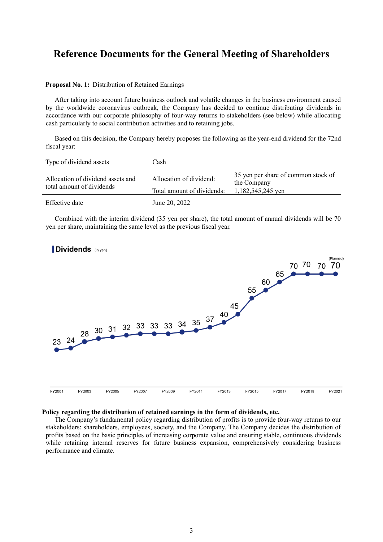# **Reference Documents for the General Meeting of Shareholders**

## **Proposal No. 1:** Distribution of Retained Earnings

After taking into account future business outlook and volatile changes in the business environment caused by the worldwide coronavirus outbreak, the Company has decided to continue distributing dividends in accordance with our corporate philosophy of four-way returns to stakeholders (see below) while allocating cash particularly to social contribution activities and to retaining jobs.

Based on this decision, the Company hereby proposes the following as the year-end dividend for the 72nd fiscal year:

| Type of dividend assets                                        | Cash                                                  |                                                                         |
|----------------------------------------------------------------|-------------------------------------------------------|-------------------------------------------------------------------------|
| Allocation of dividend assets and<br>total amount of dividends | Allocation of dividend:<br>Total amount of dividends: | 35 yen per share of common stock of<br>the Company<br>1,182,545,245 yen |
| Effective date                                                 | June 20, 2022                                         |                                                                         |

Combined with the interim dividend (35 yen per share), the total amount of annual dividends will be 70 yen per share, maintaining the same level as the previous fiscal year.



#### **Policy regarding the distribution of retained earnings in the form of dividends, etc.**

The Company's fundamental policy regarding distribution of profits is to provide four-way returns to our stakeholders: shareholders, employees, society, and the Company. The Company decides the distribution of profits based on the basic principles of increasing corporate value and ensuring stable, continuous dividends while retaining internal reserves for future business expansion, comprehensively considering business performance and climate.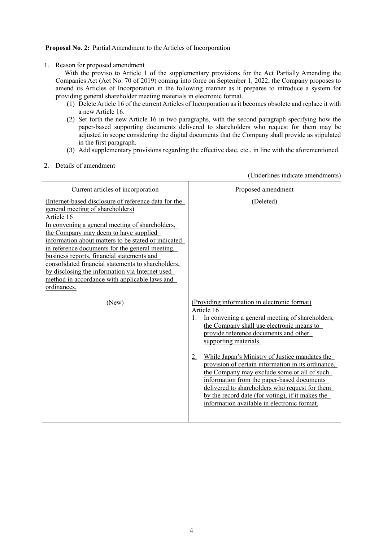# **Proposal No. 2:** Partial Amendment to the Articles of Incorporation

1. Reason for proposed amendment

With the proviso to Article 1 of the supplementary provisions for the Act Partially Amending the Companies Act (Act No. 70 of 2019) coming into force on September 1, 2022, the Company proposes to amend its Articles of Incorporation in the following manner as it prepares to introduce a system for providing general shareholder meeting materials in electronic format.

- (1) Delete Article 16 of the current Articles of Incorporation as it becomes obsolete and replace it with a new Article 16.
- (2) Set forth the new Article 16 in two paragraphs, with the second paragraph specifying how the paper-based supporting documents delivered to shareholders who request for them may be adjusted in scope considering the digital documents that the Company shall provide as stipulated in the first paragraph.
- (3) Add supplementary provisions regarding the effective date, etc., in line with the aforementioned.
- 2. Details of amendment

(Underlines indicate amendments)

| Current articles of incorporation                                                                                                                                                                                                                                                                                                                                                                                                                                                                                    | Proposed amendment                                                                                                                                                                                                                                                                                                                                                                                                                                                                                                                                                                                 |
|----------------------------------------------------------------------------------------------------------------------------------------------------------------------------------------------------------------------------------------------------------------------------------------------------------------------------------------------------------------------------------------------------------------------------------------------------------------------------------------------------------------------|----------------------------------------------------------------------------------------------------------------------------------------------------------------------------------------------------------------------------------------------------------------------------------------------------------------------------------------------------------------------------------------------------------------------------------------------------------------------------------------------------------------------------------------------------------------------------------------------------|
| (Internet-based disclosure of reference data for the<br>general meeting of shareholders)<br>Article 16<br>In convening a general meeting of shareholders,<br>the Company may deem to have supplied<br>information about matters to be stated or indicated<br>in reference documents for the general meeting,<br>business reports, financial statements and<br>consolidated financial statements to shareholders,<br>by disclosing the information via Internet used<br>method in accordance with applicable laws and | (Deleted)                                                                                                                                                                                                                                                                                                                                                                                                                                                                                                                                                                                          |
| ordinances.<br>(New)                                                                                                                                                                                                                                                                                                                                                                                                                                                                                                 | (Providing information in electronic format)<br>Article 16<br>In convening a general meeting of shareholders,<br>1.<br>the Company shall use electronic means to<br>provide reference documents and other<br>supporting materials.<br>While Japan's Ministry of Justice mandates the<br>2.<br>provision of certain information in its ordinance,<br>the Company may exclude some or all of such<br>information from the paper-based documents<br>delivered to shareholders who request for them<br>by the record date (for voting), if it makes the<br>information available in electronic format. |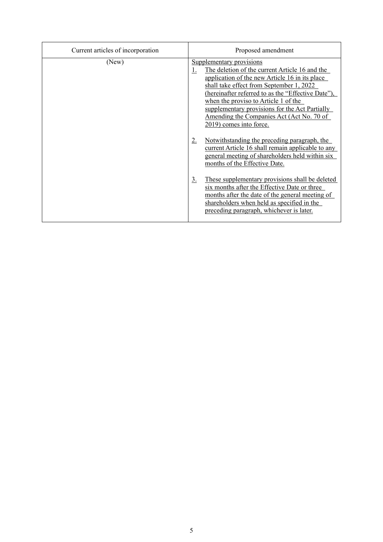| Current articles of incorporation | Proposed amendment                                                                                                                                                                                                                                                                                                                                                                                          |
|-----------------------------------|-------------------------------------------------------------------------------------------------------------------------------------------------------------------------------------------------------------------------------------------------------------------------------------------------------------------------------------------------------------------------------------------------------------|
| (New)                             | Supplementary provisions<br>The deletion of the current Article 16 and the<br>$\perp$<br>application of the new Article 16 in its place<br>shall take effect from September 1, 2022<br>(hereinafter referred to as the "Effective Date"),<br>when the proviso to Article 1 of the<br>supplementary provisions for the Act Partially<br>Amending the Companies Act (Act No. 70 of<br>2019) comes into force. |
|                                   | Notwithstanding the preceding paragraph, the<br>2.<br>current Article 16 shall remain applicable to any<br>general meeting of shareholders held within six<br>months of the Effective Date.                                                                                                                                                                                                                 |
|                                   | These supplementary provisions shall be deleted<br>$\underline{3}$ .<br>six months after the Effective Date or three<br>months after the date of the general meeting of<br>shareholders when held as specified in the<br>preceding paragraph, whichever is later.                                                                                                                                           |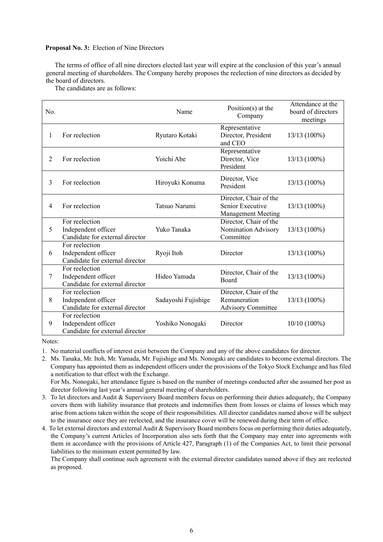## **Proposal No. 3:** Election of Nine Directors

The terms of office of all nine directors elected last year will expire at the conclusion of this year's annual general meeting of shareholders. The Company hereby proposes the reelection of nine directors as decided by the board of directors.

The candidates are as follows:

| No. |                                                                          | Name                | Position( $s$ ) at the<br>Company                                       | Attendance at the<br>board of directors<br>meetings |
|-----|--------------------------------------------------------------------------|---------------------|-------------------------------------------------------------------------|-----------------------------------------------------|
| 1   | For reelection                                                           | Ryutaro Kotaki      | Representative<br>Director, President<br>and CEO                        | 13/13 (100%)                                        |
| 2   | For reelection                                                           | Yoichi Abe          | Representative<br>Director, Vice<br>President                           | 13/13 (100%)                                        |
| 3   | For reelection                                                           | Hiroyuki Konuma     | Director, Vice<br>President                                             | 13/13 (100%)                                        |
| 4   | For reelection                                                           | Tatsuo Narumi       | Director, Chair of the<br>Senior Executive<br><b>Management Meeting</b> | 13/13 (100%)                                        |
| 5   | For reelection<br>Independent officer<br>Candidate for external director | Yuko Tanaka         | Director, Chair of the<br>Nomination Advisory<br>Committee              | 13/13 (100%)                                        |
| 6   | For reelection<br>Independent officer<br>Candidate for external director | Ryoji Itoh          | Director                                                                | 13/13 (100%)                                        |
| 7   | For reelection<br>Independent officer<br>Candidate for external director | Hideo Yamada        | Director, Chair of the<br>Board                                         | 13/13 (100%)                                        |
| 8   | For reelection<br>Independent officer<br>Candidate for external director | Sadayoshi Fujishige | Director, Chair of the<br>Remuneration<br><b>Advisory Committee</b>     | 13/13 (100%)                                        |
| 9   | For reelection<br>Independent officer<br>Candidate for external director | Yoshiko Nonogaki    | Director                                                                | $10/10(100\%)$                                      |

Notes:

2. Ms. Tanaka, Mr. Itoh, Mr. Yamada, Mr. Fujishige and Ms. Nonogaki are candidates to become external directors. The Company has appointed them as independent officers under the provisions of the Tokyo Stock Exchange and has filed a notification to that effect with the Exchange.

For Ms. Nonogaki, her attendance figure is based on the number of meetings conducted after she assumed her post as director following last year's annual general meeting of shareholders.

- 3. To let directors and Audit & Supervisory Board members focus on performing their duties adequately, the Company covers them with liability insurance that protects and indemnifies them from losses or claims of losses which may arise from actions taken within the scope of their responsibilities. All director candidates named above will be subject to the insurance once they are reelected, and the insurance cover will be renewed during their term of office.
- 4. To let external directors and external Audit & Supervisory Board members focus on performing their duties adequately, the Company's current Articles of Incorporation also sets forth that the Company may enter into agreements with them in accordance with the provisions of Article 427, Paragraph (1) of the Companies Act, to limit their personal liabilities to the minimum extent permitted by law.

The Company shall continue such agreement with the external director candidates named above if they are reelected as proposed.

<sup>1.</sup> No material conflicts of interest exist between the Company and any of the above candidates for director.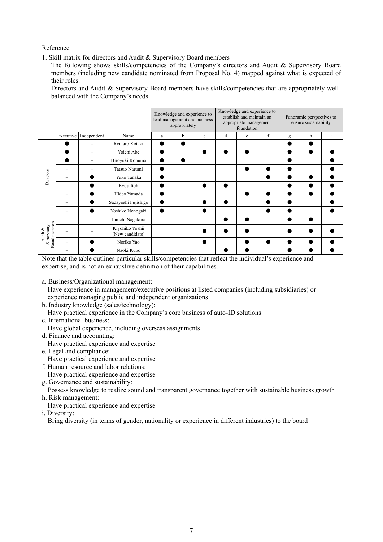# Reference

1. Skill matrix for directors and Audit & Supervisory Board members

The following shows skills/competencies of the Company's directors and Audit & Supervisory Board members (including new candidate nominated from Proposal No. 4) mapped against what is expected of their roles.

Directors and Audit & Supervisory Board members have skills/competencies that are appropriately wellbalanced with the Company's needs.

|                                            |           |             |                                    |   | Knowledge and experience to<br>lead management and business<br>appropriately |              | Knowledge and experience to<br>establish and maintain an<br>appropriate management<br>foundation |   |             | Panoramic perspectives to<br>ensure sustainability |   |              |
|--------------------------------------------|-----------|-------------|------------------------------------|---|------------------------------------------------------------------------------|--------------|--------------------------------------------------------------------------------------------------|---|-------------|----------------------------------------------------|---|--------------|
|                                            | Executive | Independent | Name                               | a | b                                                                            | $\mathbf{c}$ | d                                                                                                | e | $\mathbf f$ | g                                                  | h | <sup>i</sup> |
|                                            |           |             | Ryutaro Kotaki                     |   | 0                                                                            |              |                                                                                                  |   |             |                                                    |   |              |
|                                            |           |             | Yoichi Abe                         |   |                                                                              |              |                                                                                                  |   |             |                                                    |   |              |
|                                            |           | -           | Hiroyuki Konuma                    | ٠ | O                                                                            |              |                                                                                                  |   |             | ●                                                  |   |              |
|                                            |           |             | Tatsuo Narumi                      |   |                                                                              |              |                                                                                                  |   |             |                                                    |   |              |
| Directors                                  |           |             | Yuko Tanaka                        |   |                                                                              |              |                                                                                                  |   |             | $\bullet$                                          |   |              |
|                                            |           |             | Ryoji Itoh                         |   |                                                                              |              |                                                                                                  |   |             |                                                    |   |              |
|                                            |           |             | Hideo Yamada                       |   |                                                                              |              |                                                                                                  |   |             | $\bullet$                                          |   |              |
|                                            |           |             | Sadayoshi Fujishige                |   |                                                                              |              |                                                                                                  |   | ●           |                                                    |   |              |
|                                            |           |             | Yoshiko Nonogaki                   | ▶ |                                                                              |              |                                                                                                  |   |             | ●                                                  |   |              |
| Board members<br>Supervisory<br>Audit $\&$ |           |             | Junichi Nagakura                   |   |                                                                              |              |                                                                                                  |   |             | €                                                  |   |              |
|                                            |           |             | Kiyohiko Yoshii<br>(New candidate) |   |                                                                              |              |                                                                                                  |   |             |                                                    |   |              |
|                                            |           |             | Noriko Yao                         |   |                                                                              |              |                                                                                                  |   | ●           |                                                    |   |              |
|                                            |           |             | Naoki Kubo                         |   |                                                                              |              |                                                                                                  |   |             |                                                    |   |              |

Note that the table outlines particular skills/competencies that reflect the individual's experience and expertise, and is not an exhaustive definition of their capabilities.

a. Business/Organizational management:

Have experience in management/executive positions at listed companies (including subsidiaries) or experience managing public and independent organizations

- b. Industry knowledge (sales/technology):
- Have practical experience in the Company's core business of auto-ID solutions
- c. International business:

Have global experience, including overseas assignments

- d. Finance and accounting:
- Have practical experience and expertise
- e. Legal and compliance: Have practical experience and expertise
- f. Human resource and labor relations:

Have practical experience and expertise

g. Governance and sustainability:

Possess knowledge to realize sound and transparent governance together with sustainable business growth h. Risk management:

Have practical experience and expertise

i. Diversity:

Bring diversity (in terms of gender, nationality or experience in different industries) to the board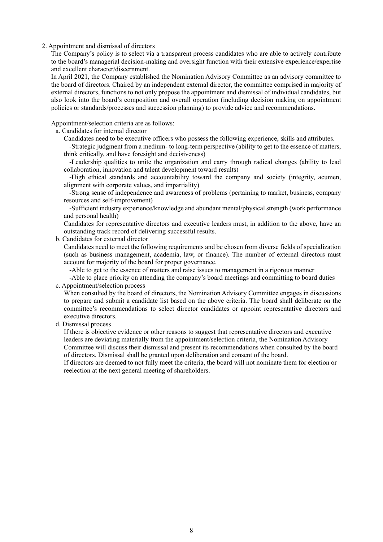#### 2. Appointment and dismissal of directors

The Company's policy is to select via a transparent process candidates who are able to actively contribute to the board's managerial decision-making and oversight function with their extensive experience/expertise and excellent character/discernment.

In April 2021, the Company established the Nomination Advisory Committee as an advisory committee to the board of directors. Chaired by an independent external director, the committee comprised in majority of external directors, functions to not only propose the appointment and dismissal of individual candidates, but also look into the board's composition and overall operation (including decision making on appointment policies or standards/processes and succession planning) to provide advice and recommendations.

Appointment/selection criteria are as follows:

a. Candidates for internal director

Candidates need to be executive officers who possess the following experience, skills and attributes.

-Strategic judgment from a medium- to long-term perspective (ability to get to the essence of matters, think critically, and have foresight and decisiveness)

-Leadership qualities to unite the organization and carry through radical changes (ability to lead collaboration, innovation and talent development toward results)

-High ethical standards and accountability toward the company and society (integrity, acumen, alignment with corporate values, and impartiality)

-Strong sense of independence and awareness of problems (pertaining to market, business, company resources and self-improvement)

-Sufficient industry experience/knowledge and abundant mental/physical strength (work performance and personal health)

Candidates for representative directors and executive leaders must, in addition to the above, have an outstanding track record of delivering successful results.

b. Candidates for external director

Candidates need to meet the following requirements and be chosen from diverse fields of specialization (such as business management, academia, law, or finance). The number of external directors must account for majority of the board for proper governance.

-Able to get to the essence of matters and raise issues to management in a rigorous manner

-Able to place priority on attending the company's board meetings and committing to board duties c. Appointment/selection process

When consulted by the board of directors, the Nomination Advisory Committee engages in discussions to prepare and submit a candidate list based on the above criteria. The board shall deliberate on the committee's recommendations to select director candidates or appoint representative directors and executive directors.

d. Dismissal process

If there is objective evidence or other reasons to suggest that representative directors and executive leaders are deviating materially from the appointment/selection criteria, the Nomination Advisory Committee will discuss their dismissal and present its recommendations when consulted by the board of directors. Dismissal shall be granted upon deliberation and consent of the board.

If directors are deemed to not fully meet the criteria, the board will not nominate them for election or reelection at the next general meeting of shareholders.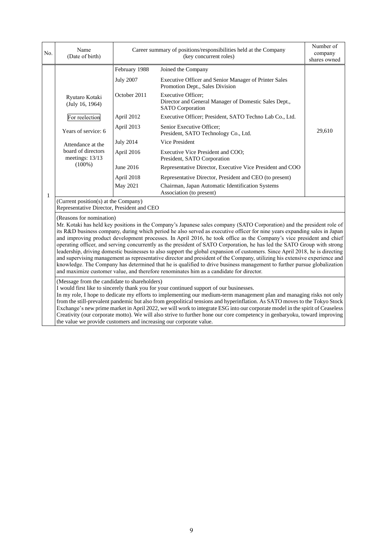| No.          | Name<br>(Date of birth)                                                                                                                                                                                                                                                                                                                                                                                                                                                                                                                                                                                                                                                                                                                                                                                                                                                                                                                                                                                                |                  | Career summary of positions/responsibilities held at the Company<br>(key concurrent roles)                    | Number of<br>company<br>shares owned |  |  |  |
|--------------|------------------------------------------------------------------------------------------------------------------------------------------------------------------------------------------------------------------------------------------------------------------------------------------------------------------------------------------------------------------------------------------------------------------------------------------------------------------------------------------------------------------------------------------------------------------------------------------------------------------------------------------------------------------------------------------------------------------------------------------------------------------------------------------------------------------------------------------------------------------------------------------------------------------------------------------------------------------------------------------------------------------------|------------------|---------------------------------------------------------------------------------------------------------------|--------------------------------------|--|--|--|
|              |                                                                                                                                                                                                                                                                                                                                                                                                                                                                                                                                                                                                                                                                                                                                                                                                                                                                                                                                                                                                                        | February 1988    | Joined the Company                                                                                            |                                      |  |  |  |
|              |                                                                                                                                                                                                                                                                                                                                                                                                                                                                                                                                                                                                                                                                                                                                                                                                                                                                                                                                                                                                                        | <b>July 2007</b> | Executive Officer and Senior Manager of Printer Sales<br>Promotion Dept., Sales Division                      |                                      |  |  |  |
|              | Ryutaro Kotaki<br>(July 16, 1964)                                                                                                                                                                                                                                                                                                                                                                                                                                                                                                                                                                                                                                                                                                                                                                                                                                                                                                                                                                                      | October 2011     | <b>Executive Officer:</b><br>Director and General Manager of Domestic Sales Dept.,<br><b>SATO</b> Corporation |                                      |  |  |  |
|              | For reelection                                                                                                                                                                                                                                                                                                                                                                                                                                                                                                                                                                                                                                                                                                                                                                                                                                                                                                                                                                                                         | April 2012       | Executive Officer; President, SATO Techno Lab Co., Ltd.                                                       |                                      |  |  |  |
|              | Years of service: 6                                                                                                                                                                                                                                                                                                                                                                                                                                                                                                                                                                                                                                                                                                                                                                                                                                                                                                                                                                                                    | April 2013       | Senior Executive Officer;<br>President, SATO Technology Co., Ltd.                                             | 29,610                               |  |  |  |
|              | Attendance at the                                                                                                                                                                                                                                                                                                                                                                                                                                                                                                                                                                                                                                                                                                                                                                                                                                                                                                                                                                                                      | <b>July 2014</b> | Vice President                                                                                                |                                      |  |  |  |
|              | board of directors<br>meetings: 13/13                                                                                                                                                                                                                                                                                                                                                                                                                                                                                                                                                                                                                                                                                                                                                                                                                                                                                                                                                                                  | April 2016       | Executive Vice President and COO;<br>President, SATO Corporation                                              |                                      |  |  |  |
|              | $(100\%)$                                                                                                                                                                                                                                                                                                                                                                                                                                                                                                                                                                                                                                                                                                                                                                                                                                                                                                                                                                                                              | June 2016        | Representative Director, Executive Vice President and COO                                                     |                                      |  |  |  |
|              |                                                                                                                                                                                                                                                                                                                                                                                                                                                                                                                                                                                                                                                                                                                                                                                                                                                                                                                                                                                                                        | April 2018       | Representative Director, President and CEO (to present)                                                       |                                      |  |  |  |
| $\mathbf{1}$ |                                                                                                                                                                                                                                                                                                                                                                                                                                                                                                                                                                                                                                                                                                                                                                                                                                                                                                                                                                                                                        | May 2021         | Chairman, Japan Automatic Identification Systems<br>Association (to present)                                  |                                      |  |  |  |
|              | (Current position(s) at the Company)<br>Representative Director, President and CEO                                                                                                                                                                                                                                                                                                                                                                                                                                                                                                                                                                                                                                                                                                                                                                                                                                                                                                                                     |                  |                                                                                                               |                                      |  |  |  |
|              | (Reasons for nomination)<br>Mr. Kotaki has held key positions in the Company's Japanese sales company (SATO Corporation) and the president role of<br>its R&D business company, during which period he also served as executive officer for nine years expanding sales in Japan<br>and improving product development processes. In April 2016, he took office as the Company's vice president and chief<br>operating officer, and serving concurrently as the president of SATO Corporation, he has led the SATO Group with strong<br>leadership, driving domestic businesses to also support the global expansion of customers. Since April 2018, he is directing<br>and supervising management as representative director and president of the Company, utilizing his extensive experience and<br>knowledge. The Company has determined that he is qualified to drive business management to further pursue globalization<br>and maximize customer value, and therefore renominates him as a candidate for director. |                  |                                                                                                               |                                      |  |  |  |
|              | (Message from the candidate to shareholders)<br>I would first like to sincerely thank you for your continued support of our businesses.<br>In my role, I hope to dedicate my efforts to implementing our medium-term management plan and managing risks not only<br>from the still-prevalent pandemic but also from geopolitical tensions and hyperinflation. As SATO moves to the Tokyo Stock<br>Exchange's new prime market in April 2022, we will work to integrate ESG into our corporate model in the spirit of Ceaseless<br>Creativity (our corporate motto). We will also strive to further hone our core competency in genbaryoku, toward improving                                                                                                                                                                                                                                                                                                                                                            |                  |                                                                                                               |                                      |  |  |  |

the value we provide customers and increasing our corporate value.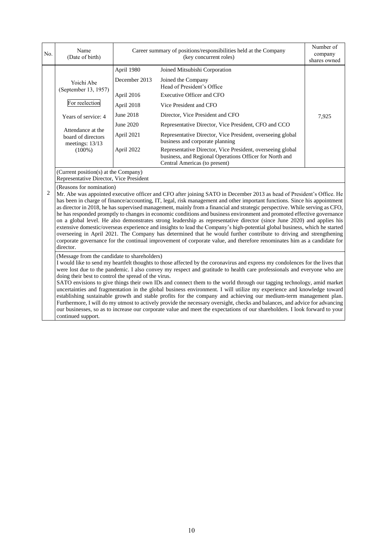| No.            | Name<br>(Date of birth)                                                                                                                                                                                                                                                                                                                                                                                                                                                                                                                                                                                                                                                                                                                                                                                                                                                                                                                                                                                                                                       | Career summary of positions/responsibilities held at the Company<br>(key concurrent roles) |                                                                                                                                                        | Number of<br>company<br>shares owned |  |  |
|----------------|---------------------------------------------------------------------------------------------------------------------------------------------------------------------------------------------------------------------------------------------------------------------------------------------------------------------------------------------------------------------------------------------------------------------------------------------------------------------------------------------------------------------------------------------------------------------------------------------------------------------------------------------------------------------------------------------------------------------------------------------------------------------------------------------------------------------------------------------------------------------------------------------------------------------------------------------------------------------------------------------------------------------------------------------------------------|--------------------------------------------------------------------------------------------|--------------------------------------------------------------------------------------------------------------------------------------------------------|--------------------------------------|--|--|
|                |                                                                                                                                                                                                                                                                                                                                                                                                                                                                                                                                                                                                                                                                                                                                                                                                                                                                                                                                                                                                                                                               | April 1980                                                                                 | Joined Mitsubishi Corporation                                                                                                                          |                                      |  |  |
|                | Yoichi Abe<br>(September 13, 1957)                                                                                                                                                                                                                                                                                                                                                                                                                                                                                                                                                                                                                                                                                                                                                                                                                                                                                                                                                                                                                            | December 2013                                                                              | Joined the Company<br>Head of President's Office                                                                                                       |                                      |  |  |
|                |                                                                                                                                                                                                                                                                                                                                                                                                                                                                                                                                                                                                                                                                                                                                                                                                                                                                                                                                                                                                                                                               | April 2016                                                                                 | Executive Officer and CFO                                                                                                                              |                                      |  |  |
|                | For reelection                                                                                                                                                                                                                                                                                                                                                                                                                                                                                                                                                                                                                                                                                                                                                                                                                                                                                                                                                                                                                                                | April 2018                                                                                 | Vice President and CFO                                                                                                                                 |                                      |  |  |
|                | Years of service: 4                                                                                                                                                                                                                                                                                                                                                                                                                                                                                                                                                                                                                                                                                                                                                                                                                                                                                                                                                                                                                                           | June 2018                                                                                  | Director, Vice President and CFO                                                                                                                       | 7,925                                |  |  |
|                |                                                                                                                                                                                                                                                                                                                                                                                                                                                                                                                                                                                                                                                                                                                                                                                                                                                                                                                                                                                                                                                               | June 2020                                                                                  | Representative Director, Vice President, CFO and CCO                                                                                                   |                                      |  |  |
|                | Attendance at the<br>board of directors<br>meetings: 13/13                                                                                                                                                                                                                                                                                                                                                                                                                                                                                                                                                                                                                                                                                                                                                                                                                                                                                                                                                                                                    | April 2021                                                                                 | Representative Director, Vice President, overseeing global<br>business and corporate planning                                                          |                                      |  |  |
|                | $(100\%)$                                                                                                                                                                                                                                                                                                                                                                                                                                                                                                                                                                                                                                                                                                                                                                                                                                                                                                                                                                                                                                                     | April 2022                                                                                 | Representative Director, Vice President, overseeing global<br>business, and Regional Operations Officer for North and<br>Central Americas (to present) |                                      |  |  |
|                | (Current position(s) at the Company)<br>Representative Director, Vice President                                                                                                                                                                                                                                                                                                                                                                                                                                                                                                                                                                                                                                                                                                                                                                                                                                                                                                                                                                               |                                                                                            |                                                                                                                                                        |                                      |  |  |
| $\overline{c}$ | (Reasons for nomination)<br>Mr. Abe was appointed executive officer and CFO after joining SATO in December 2013 as head of President's Office. He<br>has been in charge of finance/accounting, IT, legal, risk management and other important functions. Since his appointment<br>as director in 2018, he has supervised management, mainly from a financial and strategic perspective. While serving as CFO,<br>he has responded promptly to changes in economic conditions and business environment and promoted effective governance<br>on a global level. He also demonstrates strong leadership as representative director (since June 2020) and applies his<br>extensive domestic/overseas experience and insights to lead the Company's high-potential global business, which he started<br>overseeing in April 2021. The Company has determined that he would further contribute to driving and strengthening<br>corporate governance for the continual improvement of corporate value, and therefore renominates him as a candidate for<br>director. |                                                                                            |                                                                                                                                                        |                                      |  |  |
|                | (Message from the candidate to shareholders)<br>I would like to send my heartfelt thoughts to those affected by the coronavirus and express my condolences for the lives that<br>were lost due to the pandemic. I also convey my respect and gratitude to health care professionals and everyone who are<br>doing their best to control the spread of the virus.<br>SATO envisions to give things their own IDs and connect them to the world through our tagging technology, amid market<br>uncertainties and fragmentation in the global business environment. I will utilize my experience and knowledge toward<br>establishing sustainable growth and stable profits for the company and achieving our medium-term management plan.<br>Furthermore, I will do my utmost to actively provide the necessary oversight, checks and balances, and advice for advancing<br>our businesses, so as to increase our corporate value and meet the expectations of our shareholders. I look forward to your<br>continued support.                                   |                                                                                            |                                                                                                                                                        |                                      |  |  |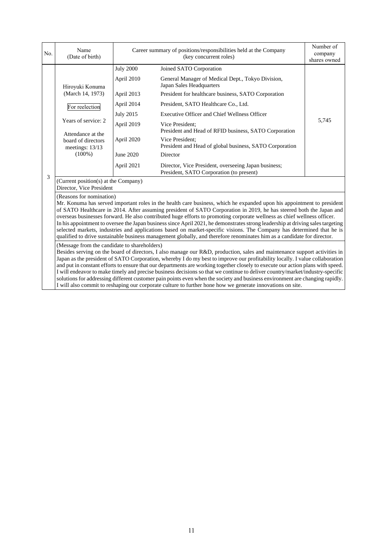| No. | Name<br>(Date of birth)                                                                                                                                                                                                                                                                                                                                                                                                                                                                                                                                                                                                                                                                                                                                                                                                     |                  | Career summary of positions/responsibilities held at the Company<br>(key concurrent roles)<br>shares owned |       |  |  |
|-----|-----------------------------------------------------------------------------------------------------------------------------------------------------------------------------------------------------------------------------------------------------------------------------------------------------------------------------------------------------------------------------------------------------------------------------------------------------------------------------------------------------------------------------------------------------------------------------------------------------------------------------------------------------------------------------------------------------------------------------------------------------------------------------------------------------------------------------|------------------|------------------------------------------------------------------------------------------------------------|-------|--|--|
|     |                                                                                                                                                                                                                                                                                                                                                                                                                                                                                                                                                                                                                                                                                                                                                                                                                             | <b>July 2000</b> | Joined SATO Corporation                                                                                    |       |  |  |
|     | Hiroyuki Konuma                                                                                                                                                                                                                                                                                                                                                                                                                                                                                                                                                                                                                                                                                                                                                                                                             | April 2010       | General Manager of Medical Dept., Tokyo Division,<br>Japan Sales Headquarters                              |       |  |  |
|     | (March 14, 1973)                                                                                                                                                                                                                                                                                                                                                                                                                                                                                                                                                                                                                                                                                                                                                                                                            | April 2013       | President for healthcare business, SATO Corporation                                                        |       |  |  |
|     | For reelection                                                                                                                                                                                                                                                                                                                                                                                                                                                                                                                                                                                                                                                                                                                                                                                                              | April 2014       | President, SATO Healthcare Co., Ltd.                                                                       |       |  |  |
|     |                                                                                                                                                                                                                                                                                                                                                                                                                                                                                                                                                                                                                                                                                                                                                                                                                             | <b>July 2015</b> | <b>Executive Officer and Chief Wellness Officer</b>                                                        |       |  |  |
|     | Years of service: 2<br>Attendance at the                                                                                                                                                                                                                                                                                                                                                                                                                                                                                                                                                                                                                                                                                                                                                                                    | April 2019       | Vice President:<br>President and Head of RFID business, SATO Corporation                                   | 5,745 |  |  |
|     | board of directors<br>meetings: 13/13                                                                                                                                                                                                                                                                                                                                                                                                                                                                                                                                                                                                                                                                                                                                                                                       | April 2020       | Vice President:<br>President and Head of global business, SATO Corporation                                 |       |  |  |
|     | $(100\%)$                                                                                                                                                                                                                                                                                                                                                                                                                                                                                                                                                                                                                                                                                                                                                                                                                   | June 2020        | Director                                                                                                   |       |  |  |
|     |                                                                                                                                                                                                                                                                                                                                                                                                                                                                                                                                                                                                                                                                                                                                                                                                                             | April 2021       | Director, Vice President, overseeing Japan business;<br>President, SATO Corporation (to present)           |       |  |  |
| 3   | (Current position(s) at the Company)<br>Director, Vice President                                                                                                                                                                                                                                                                                                                                                                                                                                                                                                                                                                                                                                                                                                                                                            |                  |                                                                                                            |       |  |  |
|     | (Reasons for nomination)<br>Mr. Konuma has served important roles in the health care business, which he expanded upon his appointment to president<br>of SATO Healthcare in 2014. After assuming president of SATO Corporation in 2019, he has steered both the Japan and<br>overseas businesses forward. He also contributed huge efforts to promoting corporate wellness as chief wellness officer.<br>In his appointment to oversee the Japan business since April 2021, he demonstrates strong leadership at driving sales targeting<br>selected markets, industries and applications based on market-specific visions. The Company has determined that he is<br>qualified to drive sustainable business management globally, and therefore renominates him as a candidate for director.                                |                  |                                                                                                            |       |  |  |
|     | (Message from the candidate to shareholders)<br>Besides serving on the board of directors, I also manage our R&D, production, sales and maintenance support activities in<br>Japan as the president of SATO Corporation, whereby I do my best to improve our profitability locally. I value collaboration<br>and put in constant efforts to ensure that our departments are working together closely to execute our action plans with speed.<br>I will endeavor to make timely and precise business decisions so that we continue to deliver country/market/industry-specific<br>solutions for addressing different customer pain points even when the society and business environment are changing rapidly.<br>I will also commit to reshaping our corporate culture to further hone how we generate innovations on site. |                  |                                                                                                            |       |  |  |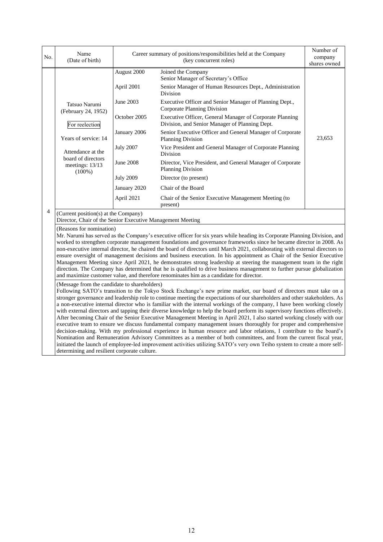| No. | Name<br>(Date of birth)                                                                                                                                                                                                                                                                                                                                                                                                                                                                                                                                                                                                                                                                                                                                                                                                                                                                                                                                                                   |                                                                                                                                                                                                                                                                                                                                                                                                                                                                                                                                                                                                                                                                                                                                                                                                                                                                                                                                                                                                                                                                                                                                      | Career summary of positions/responsibilities held at the Company<br>(key concurrent roles)<br>shares owned                                                                                                                                                                                                                                                                                                                                                                                                                                                                                                                                                                                                                     |        |  |  |
|-----|-------------------------------------------------------------------------------------------------------------------------------------------------------------------------------------------------------------------------------------------------------------------------------------------------------------------------------------------------------------------------------------------------------------------------------------------------------------------------------------------------------------------------------------------------------------------------------------------------------------------------------------------------------------------------------------------------------------------------------------------------------------------------------------------------------------------------------------------------------------------------------------------------------------------------------------------------------------------------------------------|--------------------------------------------------------------------------------------------------------------------------------------------------------------------------------------------------------------------------------------------------------------------------------------------------------------------------------------------------------------------------------------------------------------------------------------------------------------------------------------------------------------------------------------------------------------------------------------------------------------------------------------------------------------------------------------------------------------------------------------------------------------------------------------------------------------------------------------------------------------------------------------------------------------------------------------------------------------------------------------------------------------------------------------------------------------------------------------------------------------------------------------|--------------------------------------------------------------------------------------------------------------------------------------------------------------------------------------------------------------------------------------------------------------------------------------------------------------------------------------------------------------------------------------------------------------------------------------------------------------------------------------------------------------------------------------------------------------------------------------------------------------------------------------------------------------------------------------------------------------------------------|--------|--|--|
|     | Tatsuo Narumi<br>(February 24, 1952)<br>For reelection<br>Years of service: 14<br>Attendance at the<br>board of directors<br>meetings: 13/13<br>$(100\%)$                                                                                                                                                                                                                                                                                                                                                                                                                                                                                                                                                                                                                                                                                                                                                                                                                                 | August 2000<br>April 2001<br>June 2003<br>October 2005<br>January 2006<br><b>July 2007</b><br>June 2008<br><b>July 2009</b><br>January 2020<br>April 2021                                                                                                                                                                                                                                                                                                                                                                                                                                                                                                                                                                                                                                                                                                                                                                                                                                                                                                                                                                            | Joined the Company<br>Senior Manager of Secretary's Office<br>Senior Manager of Human Resources Dept., Administration<br><b>Division</b><br>Executive Officer and Senior Manager of Planning Dept.,<br>Corporate Planning Division<br>Executive Officer, General Manager of Corporate Planning<br>Division, and Senior Manager of Planning Dept.<br>Senior Executive Officer and General Manager of Corporate<br><b>Planning Division</b><br>Vice President and General Manager of Corporate Planning<br>Division<br>Director, Vice President, and General Manager of Corporate<br><b>Planning Division</b><br>Director (to present)<br>Chair of the Board<br>Chair of the Senior Executive Management Meeting (to<br>present) | 23,653 |  |  |
| 4   | (Current position(s) at the Company)<br>Director, Chair of the Senior Executive Management Meeting<br>(Reasons for nomination)<br>Mr. Narumi has served as the Company's executive officer for six years while heading its Corporate Planning Division, and<br>worked to strengthen corporate management foundations and governance frameworks since he became director in 2008. As<br>non-executive internal director, he chaired the board of directors until March 2021, collaborating with external directors to<br>ensure oversight of management decisions and business execution. In his appointment as Chair of the Senior Executive<br>Management Meeting since April 2021, he demonstrates strong leadership at steering the management team in the right<br>direction. The Company has determined that he is qualified to drive business management to further pursue globalization<br>and maximize customer value, and therefore renominates him as a candidate for director. |                                                                                                                                                                                                                                                                                                                                                                                                                                                                                                                                                                                                                                                                                                                                                                                                                                                                                                                                                                                                                                                                                                                                      |                                                                                                                                                                                                                                                                                                                                                                                                                                                                                                                                                                                                                                                                                                                                |        |  |  |
|     | (Message from the candidate to shareholders)<br>determining and resilient corporate culture.                                                                                                                                                                                                                                                                                                                                                                                                                                                                                                                                                                                                                                                                                                                                                                                                                                                                                              | Following SATO's transition to the Tokyo Stock Exchange's new prime market, our board of directors must take on a<br>stronger governance and leadership role to continue meeting the expectations of our shareholders and other stakeholders. As<br>a non-executive internal director who is familiar with the internal workings of the company, I have been working closely<br>with external directors and tapping their diverse knowledge to help the board perform its supervisory functions effectively.<br>After becoming Chair of the Senior Executive Management Meeting in April 2021, I also started working closely with our<br>executive team to ensure we discuss fundamental company management issues thoroughly for proper and comprehensive<br>decision-making. With my professional experience in human resource and labor relations, I contribute to the board's<br>Nomination and Remuneration Advisory Committees as a member of both committees, and from the current fiscal year,<br>initiated the launch of employee-led improvement activities utilizing SATO's very own Teiho system to create a more self- |                                                                                                                                                                                                                                                                                                                                                                                                                                                                                                                                                                                                                                                                                                                                |        |  |  |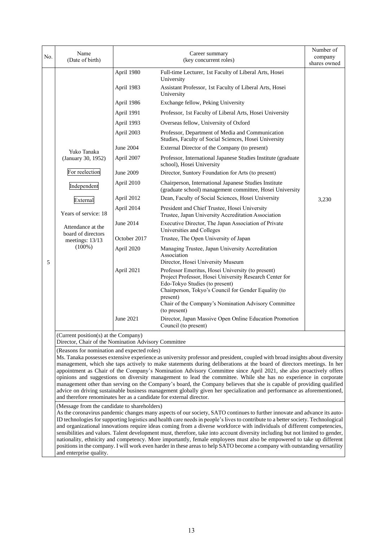| No. | Name<br>(Date of birth)                                                                                                                                                                                                                                                                                                                                                                                                                                                                                                                                                                                                                                                                                                                                                                                                                                                  |              | Career summary<br>(key concurrent roles)                                                                                                                                                                                                                                                   | Number of<br>company<br>shares owned |  |  |
|-----|--------------------------------------------------------------------------------------------------------------------------------------------------------------------------------------------------------------------------------------------------------------------------------------------------------------------------------------------------------------------------------------------------------------------------------------------------------------------------------------------------------------------------------------------------------------------------------------------------------------------------------------------------------------------------------------------------------------------------------------------------------------------------------------------------------------------------------------------------------------------------|--------------|--------------------------------------------------------------------------------------------------------------------------------------------------------------------------------------------------------------------------------------------------------------------------------------------|--------------------------------------|--|--|
|     |                                                                                                                                                                                                                                                                                                                                                                                                                                                                                                                                                                                                                                                                                                                                                                                                                                                                          | April 1980   | Full-time Lecturer, 1st Faculty of Liberal Arts, Hosei<br>University                                                                                                                                                                                                                       |                                      |  |  |
|     |                                                                                                                                                                                                                                                                                                                                                                                                                                                                                                                                                                                                                                                                                                                                                                                                                                                                          | April 1983   | Assistant Professor, 1st Faculty of Liberal Arts, Hosei<br>University                                                                                                                                                                                                                      |                                      |  |  |
|     |                                                                                                                                                                                                                                                                                                                                                                                                                                                                                                                                                                                                                                                                                                                                                                                                                                                                          | April 1986   | Exchange fellow, Peking University                                                                                                                                                                                                                                                         |                                      |  |  |
|     |                                                                                                                                                                                                                                                                                                                                                                                                                                                                                                                                                                                                                                                                                                                                                                                                                                                                          | April 1991   | Professor, 1st Faculty of Liberal Arts, Hosei University                                                                                                                                                                                                                                   |                                      |  |  |
|     |                                                                                                                                                                                                                                                                                                                                                                                                                                                                                                                                                                                                                                                                                                                                                                                                                                                                          | April 1993   | Overseas fellow, University of Oxford                                                                                                                                                                                                                                                      |                                      |  |  |
|     |                                                                                                                                                                                                                                                                                                                                                                                                                                                                                                                                                                                                                                                                                                                                                                                                                                                                          | April 2003   | Professor, Department of Media and Communication<br>Studies, Faculty of Social Sciences, Hosei University                                                                                                                                                                                  |                                      |  |  |
|     | Yuko Tanaka                                                                                                                                                                                                                                                                                                                                                                                                                                                                                                                                                                                                                                                                                                                                                                                                                                                              | June 2004    | External Director of the Company (to present)                                                                                                                                                                                                                                              |                                      |  |  |
|     | (January 30, 1952)                                                                                                                                                                                                                                                                                                                                                                                                                                                                                                                                                                                                                                                                                                                                                                                                                                                       | April 2007   | Professor, International Japanese Studies Institute (graduate<br>school), Hosei University                                                                                                                                                                                                 |                                      |  |  |
|     | For reelection                                                                                                                                                                                                                                                                                                                                                                                                                                                                                                                                                                                                                                                                                                                                                                                                                                                           | June 2009    | Director, Suntory Foundation for Arts (to present)                                                                                                                                                                                                                                         |                                      |  |  |
|     | Independent                                                                                                                                                                                                                                                                                                                                                                                                                                                                                                                                                                                                                                                                                                                                                                                                                                                              | April 2010   | Chairperson, International Japanese Studies Institute<br>(graduate school) management committee, Hosei University                                                                                                                                                                          |                                      |  |  |
|     | External                                                                                                                                                                                                                                                                                                                                                                                                                                                                                                                                                                                                                                                                                                                                                                                                                                                                 | April 2012   | Dean, Faculty of Social Sciences, Hosei University                                                                                                                                                                                                                                         | 3,230                                |  |  |
|     | Years of service: 18                                                                                                                                                                                                                                                                                                                                                                                                                                                                                                                                                                                                                                                                                                                                                                                                                                                     | April 2014   | President and Chief Trustee, Hosei University<br>Trustee, Japan University Accreditation Association                                                                                                                                                                                       |                                      |  |  |
|     | Attendance at the<br>board of directors                                                                                                                                                                                                                                                                                                                                                                                                                                                                                                                                                                                                                                                                                                                                                                                                                                  | June 2014    | Executive Director, The Japan Association of Private<br>Universities and Colleges                                                                                                                                                                                                          |                                      |  |  |
|     | meetings: 13/13                                                                                                                                                                                                                                                                                                                                                                                                                                                                                                                                                                                                                                                                                                                                                                                                                                                          | October 2017 | Trustee, The Open University of Japan                                                                                                                                                                                                                                                      |                                      |  |  |
| 5   | $(100\%)$                                                                                                                                                                                                                                                                                                                                                                                                                                                                                                                                                                                                                                                                                                                                                                                                                                                                | April 2020   | Managing Trustee, Japan University Accreditation<br>Association<br>Director, Hosei University Museum                                                                                                                                                                                       |                                      |  |  |
|     |                                                                                                                                                                                                                                                                                                                                                                                                                                                                                                                                                                                                                                                                                                                                                                                                                                                                          | April 2021   | Professor Emeritus, Hosei University (to present)<br>Project Professor, Hosei University Research Center for<br>Edo-Tokyo Studies (to present)<br>Chairperson, Tokyo's Council for Gender Equality (to<br>present)<br>Chair of the Company's Nomination Advisory Committee<br>(to present) |                                      |  |  |
|     |                                                                                                                                                                                                                                                                                                                                                                                                                                                                                                                                                                                                                                                                                                                                                                                                                                                                          | June 2021    | Director, Japan Massive Open Online Education Promotion<br>Council (to present)                                                                                                                                                                                                            |                                      |  |  |
|     | (Current position(s) at the Company)<br>Director, Chair of the Nomination Advisory Committee                                                                                                                                                                                                                                                                                                                                                                                                                                                                                                                                                                                                                                                                                                                                                                             |              |                                                                                                                                                                                                                                                                                            |                                      |  |  |
|     | (Reasons for nomination and expected roles)<br>Ms. Tanaka possesses extensive experience as university professor and president, coupled with broad insights about diversity<br>management, which she taps actively to make statements during deliberations at the board of directors meetings. In her<br>appointment as Chair of the Company's Nomination Advisory Committee since April 2021, she also proactively offers<br>opinions and suggestions on diversity management to lead the committee. While she has no experience in corporate<br>management other than serving on the Company's board, the Company believes that she is capable of providing qualified<br>advice on driving sustainable business management globally given her specialization and performance as aforementioned,<br>and therefore renominates her as a candidate for external director. |              |                                                                                                                                                                                                                                                                                            |                                      |  |  |
|     | (Message from the candidate to shareholders)                                                                                                                                                                                                                                                                                                                                                                                                                                                                                                                                                                                                                                                                                                                                                                                                                             |              |                                                                                                                                                                                                                                                                                            |                                      |  |  |
|     | As the coronavirus pandemic changes many aspects of our society, SATO continues to further innovate and advance its auto-<br>ID technologies for supporting logistics and health care needs in people's lives to contribute to a better society. Technological<br>and organizational innovations require ideas coming from a diverse workforce with individuals of different competencies,<br>sensibilities and values. Talent development must, therefore, take into account diversity including but not limited to gender,<br>nationality, ethnicity and competency. More importantly, female employees must also be empowered to take up different                                                                                                                                                                                                                    |              |                                                                                                                                                                                                                                                                                            |                                      |  |  |
|     | and enterprise quality.                                                                                                                                                                                                                                                                                                                                                                                                                                                                                                                                                                                                                                                                                                                                                                                                                                                  |              | positions in the company. I will work even harder in these areas to help SATO become a company with outstanding versatility                                                                                                                                                                |                                      |  |  |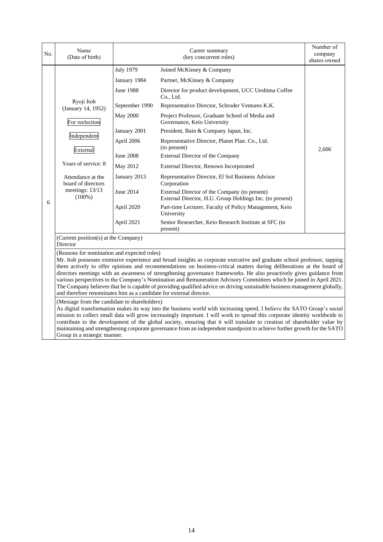| No. | Name<br>(Date of birth)                                                                                                                                                                                                                                                                                                                                                                                                                                                                                                                                                                                                                                                                                                                               |                                  | Career summary<br>(key concurrent roles)                                                                  | Number of<br>company<br>shares owned |  |  |
|-----|-------------------------------------------------------------------------------------------------------------------------------------------------------------------------------------------------------------------------------------------------------------------------------------------------------------------------------------------------------------------------------------------------------------------------------------------------------------------------------------------------------------------------------------------------------------------------------------------------------------------------------------------------------------------------------------------------------------------------------------------------------|----------------------------------|-----------------------------------------------------------------------------------------------------------|--------------------------------------|--|--|
|     |                                                                                                                                                                                                                                                                                                                                                                                                                                                                                                                                                                                                                                                                                                                                                       | <b>July 1979</b><br>January 1984 | Joined McKinsey & Company<br>Partner, McKinsey & Company                                                  |                                      |  |  |
|     |                                                                                                                                                                                                                                                                                                                                                                                                                                                                                                                                                                                                                                                                                                                                                       | <b>June 1988</b>                 | Director for product development, UCC Ueshima Coffee<br>Co., Ltd.                                         |                                      |  |  |
|     | Ryoji Itoh<br>(January 14, 1952)                                                                                                                                                                                                                                                                                                                                                                                                                                                                                                                                                                                                                                                                                                                      | September 1990                   | Representative Director, Schroder Ventures K.K.                                                           |                                      |  |  |
|     | For reelection                                                                                                                                                                                                                                                                                                                                                                                                                                                                                                                                                                                                                                                                                                                                        | <b>May 2000</b>                  | Project Professor, Graduate School of Media and<br>Governance, Keio University                            |                                      |  |  |
|     |                                                                                                                                                                                                                                                                                                                                                                                                                                                                                                                                                                                                                                                                                                                                                       | January 2001                     | President, Bain & Company Japan, Inc.                                                                     |                                      |  |  |
|     | Independent<br>External                                                                                                                                                                                                                                                                                                                                                                                                                                                                                                                                                                                                                                                                                                                               | April 2006                       | Representative Director, Planet Plan. Co., Ltd.<br>(to present)                                           | 2,606                                |  |  |
|     |                                                                                                                                                                                                                                                                                                                                                                                                                                                                                                                                                                                                                                                                                                                                                       | <b>June 2008</b>                 | External Director of the Company                                                                          |                                      |  |  |
|     | Years of service: 8                                                                                                                                                                                                                                                                                                                                                                                                                                                                                                                                                                                                                                                                                                                                   | May 2012                         | External Director, Renown Incorporated                                                                    |                                      |  |  |
|     | Attendance at the<br>board of directors<br>meetings: 13/13<br>$(100\%)$                                                                                                                                                                                                                                                                                                                                                                                                                                                                                                                                                                                                                                                                               | January 2013                     | Representative Director, El Sol Business Advisor<br>Corporation                                           |                                      |  |  |
| 6   |                                                                                                                                                                                                                                                                                                                                                                                                                                                                                                                                                                                                                                                                                                                                                       | June 2014                        | External Director of the Company (to present)<br>External Director, H.U. Group Holdings Inc. (to present) |                                      |  |  |
|     |                                                                                                                                                                                                                                                                                                                                                                                                                                                                                                                                                                                                                                                                                                                                                       | April 2020                       | Part-time Lecturer, Faculty of Policy Management, Keio<br>University                                      |                                      |  |  |
|     |                                                                                                                                                                                                                                                                                                                                                                                                                                                                                                                                                                                                                                                                                                                                                       | April 2021                       | Senior Researcher, Keio Research Institute at SFC (to<br>present)                                         |                                      |  |  |
|     | (Current position(s) at the Company)<br>Director                                                                                                                                                                                                                                                                                                                                                                                                                                                                                                                                                                                                                                                                                                      |                                  |                                                                                                           |                                      |  |  |
|     | (Reasons for nomination and expected roles)<br>Mr. Itoh possesses extensive experience and broad insights as corporate executive and graduate school professor, tapping<br>them actively to offer opinions and recommendations on business-critical matters during deliberations at the board of<br>directors meetings with an awareness of strengthening governance frameworks. He also proactively gives guidance from<br>various perspectives to the Company's Nomination and Remuneration Advisory Committees which he joined in April 2021.<br>The Company believes that he is capable of providing qualified advice on driving sustainable business management globally,<br>and therefore renominates him as a candidate for external director. |                                  |                                                                                                           |                                      |  |  |
|     | (Message from the candidate to shareholders)<br>As digital transformation makes its way into the business world with increasing speed, I believe the SATO Group's social<br>mission to collect small data will grow increasingly important. I will work to spread this corporate identity worldwide to<br>contribute to the development of the global society, ensuring that it will translate to creation of shareholder value by<br>maintaining and strengthening corporate governance from an independent standpoint to achieve further growth for the SATO<br>Group in a strategic manner.                                                                                                                                                        |                                  |                                                                                                           |                                      |  |  |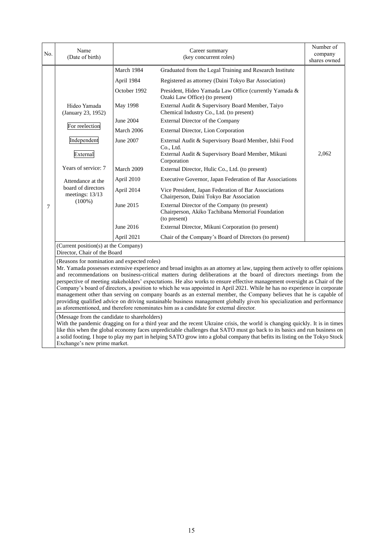| No. | Name<br>(Date of birth)                                                                                                                                                                                                                                                                                                                                                                                                                                                                                                                                                                                                                                                                                                                                                                                                                                                                             |              | Career summary<br>(key concurrent roles)                                                                          | Number of<br>company<br>shares owned |  |
|-----|-----------------------------------------------------------------------------------------------------------------------------------------------------------------------------------------------------------------------------------------------------------------------------------------------------------------------------------------------------------------------------------------------------------------------------------------------------------------------------------------------------------------------------------------------------------------------------------------------------------------------------------------------------------------------------------------------------------------------------------------------------------------------------------------------------------------------------------------------------------------------------------------------------|--------------|-------------------------------------------------------------------------------------------------------------------|--------------------------------------|--|
|     |                                                                                                                                                                                                                                                                                                                                                                                                                                                                                                                                                                                                                                                                                                                                                                                                                                                                                                     | March 1984   | Graduated from the Legal Training and Research Institute                                                          |                                      |  |
|     | Hideo Yamada<br>(January 23, 1952)<br>For reelection                                                                                                                                                                                                                                                                                                                                                                                                                                                                                                                                                                                                                                                                                                                                                                                                                                                | April 1984   | Registered as attorney (Daini Tokyo Bar Association)                                                              |                                      |  |
|     |                                                                                                                                                                                                                                                                                                                                                                                                                                                                                                                                                                                                                                                                                                                                                                                                                                                                                                     | October 1992 | President, Hideo Yamada Law Office (currently Yamada &<br>Ozaki Law Office) (to present)                          |                                      |  |
|     |                                                                                                                                                                                                                                                                                                                                                                                                                                                                                                                                                                                                                                                                                                                                                                                                                                                                                                     | May 1998     | External Audit & Supervisory Board Member, Taiyo<br>Chemical Industry Co., Ltd. (to present)                      |                                      |  |
|     |                                                                                                                                                                                                                                                                                                                                                                                                                                                                                                                                                                                                                                                                                                                                                                                                                                                                                                     | June 2004    | External Director of the Company                                                                                  |                                      |  |
| 7   |                                                                                                                                                                                                                                                                                                                                                                                                                                                                                                                                                                                                                                                                                                                                                                                                                                                                                                     | March 2006   | External Director, Lion Corporation                                                                               |                                      |  |
|     | Independent                                                                                                                                                                                                                                                                                                                                                                                                                                                                                                                                                                                                                                                                                                                                                                                                                                                                                         | June 2007    | External Audit & Supervisory Board Member, Ishii Food<br>Co., Ltd.                                                |                                      |  |
|     | External                                                                                                                                                                                                                                                                                                                                                                                                                                                                                                                                                                                                                                                                                                                                                                                                                                                                                            |              | External Audit & Supervisory Board Member, Mikuni<br>Corporation                                                  | 2,062                                |  |
|     | Years of service: 7                                                                                                                                                                                                                                                                                                                                                                                                                                                                                                                                                                                                                                                                                                                                                                                                                                                                                 | March 2009   | External Director, Hulic Co., Ltd. (to present)                                                                   |                                      |  |
|     | Attendance at the<br>board of directors<br>meetings: 13/13<br>$(100\%)$                                                                                                                                                                                                                                                                                                                                                                                                                                                                                                                                                                                                                                                                                                                                                                                                                             | April 2010   | Executive Governor, Japan Federation of Bar Associations                                                          |                                      |  |
|     |                                                                                                                                                                                                                                                                                                                                                                                                                                                                                                                                                                                                                                                                                                                                                                                                                                                                                                     | April 2014   | Vice President, Japan Federation of Bar Associations<br>Chairperson, Daini Tokyo Bar Association                  |                                      |  |
|     |                                                                                                                                                                                                                                                                                                                                                                                                                                                                                                                                                                                                                                                                                                                                                                                                                                                                                                     | June 2015    | External Director of the Company (to present)<br>Chairperson, Akiko Tachibana Memorial Foundation<br>(to present) |                                      |  |
|     |                                                                                                                                                                                                                                                                                                                                                                                                                                                                                                                                                                                                                                                                                                                                                                                                                                                                                                     | June 2016    | External Director, Mikuni Corporation (to present)                                                                |                                      |  |
|     |                                                                                                                                                                                                                                                                                                                                                                                                                                                                                                                                                                                                                                                                                                                                                                                                                                                                                                     | April 2021   | Chair of the Company's Board of Directors (to present)                                                            |                                      |  |
|     | (Current position(s) at the Company)<br>Director, Chair of the Board                                                                                                                                                                                                                                                                                                                                                                                                                                                                                                                                                                                                                                                                                                                                                                                                                                |              |                                                                                                                   |                                      |  |
|     | (Reasons for nomination and expected roles)<br>Mr. Yamada possesses extensive experience and broad insights as an attorney at law, tapping them actively to offer opinions<br>and recommendations on business-critical matters during deliberations at the board of directors meetings from the<br>perspective of meeting stakeholders' expectations. He also works to ensure effective management oversight as Chair of the<br>Company's board of directors, a position to which he was appointed in April 2021. While he has no experience in corporate<br>management other than serving on company boards as an external member, the Company believes that he is capable of<br>providing qualified advice on driving sustainable business management globally given his specialization and performance<br>as aforementioned, and therefore renominates him as a candidate for external director. |              |                                                                                                                   |                                      |  |
|     | (Message from the candidate to shareholders)<br>With the pandemic dragging on for a third year and the recent Ukraine crisis, the world is changing quickly. It is in times<br>like this when the global economy faces unpredictable challenges that SATO must go back to its basics and run business on<br>a solid footing. I hope to play my part in helping SATO grow into a global company that befits its listing on the Tokyo Stock<br>Exchange's new prime market.                                                                                                                                                                                                                                                                                                                                                                                                                           |              |                                                                                                                   |                                      |  |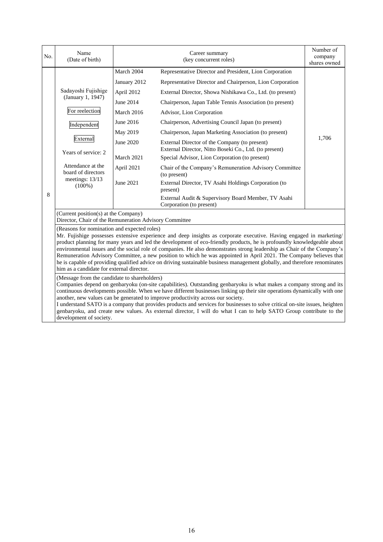| No. | Name<br>(Date of birth)                                                                                                                                                                                                                                                                                                                                                                                                                                                                                                                                                                                                                                                                                                  |              | Career summary<br>(key concurrent roles)                                                                | Number of<br>company<br>shares owned |  |
|-----|--------------------------------------------------------------------------------------------------------------------------------------------------------------------------------------------------------------------------------------------------------------------------------------------------------------------------------------------------------------------------------------------------------------------------------------------------------------------------------------------------------------------------------------------------------------------------------------------------------------------------------------------------------------------------------------------------------------------------|--------------|---------------------------------------------------------------------------------------------------------|--------------------------------------|--|
|     |                                                                                                                                                                                                                                                                                                                                                                                                                                                                                                                                                                                                                                                                                                                          | March 2004   | Representative Director and President, Lion Corporation                                                 |                                      |  |
| 8   | Sadayoshi Fujishige<br>(January 1, 1947)                                                                                                                                                                                                                                                                                                                                                                                                                                                                                                                                                                                                                                                                                 | January 2012 | Representative Director and Chairperson, Lion Corporation                                               |                                      |  |
|     |                                                                                                                                                                                                                                                                                                                                                                                                                                                                                                                                                                                                                                                                                                                          | April 2012   | External Director, Showa Nishikawa Co., Ltd. (to present)                                               |                                      |  |
|     |                                                                                                                                                                                                                                                                                                                                                                                                                                                                                                                                                                                                                                                                                                                          | June 2014    | Chairperson, Japan Table Tennis Association (to present)                                                |                                      |  |
|     | For reelection                                                                                                                                                                                                                                                                                                                                                                                                                                                                                                                                                                                                                                                                                                           | March 2016   | Advisor, Lion Corporation                                                                               |                                      |  |
|     | Independent                                                                                                                                                                                                                                                                                                                                                                                                                                                                                                                                                                                                                                                                                                              | June 2016    | Chairperson, Advertising Council Japan (to present)                                                     |                                      |  |
|     |                                                                                                                                                                                                                                                                                                                                                                                                                                                                                                                                                                                                                                                                                                                          | May 2019     | Chairperson, Japan Marketing Association (to present)                                                   |                                      |  |
|     | External<br>Years of service: 2                                                                                                                                                                                                                                                                                                                                                                                                                                                                                                                                                                                                                                                                                          | June 2020    | External Director of the Company (to present)<br>External Director, Nitto Boseki Co., Ltd. (to present) | 1.706                                |  |
|     |                                                                                                                                                                                                                                                                                                                                                                                                                                                                                                                                                                                                                                                                                                                          | March 2021   | Special Advisor, Lion Corporation (to present)                                                          |                                      |  |
|     | Attendance at the<br>board of directors<br>meetings: 13/13<br>$(100\%)$                                                                                                                                                                                                                                                                                                                                                                                                                                                                                                                                                                                                                                                  | April 2021   | Chair of the Company's Remuneration Advisory Committee<br>(to present)                                  |                                      |  |
|     |                                                                                                                                                                                                                                                                                                                                                                                                                                                                                                                                                                                                                                                                                                                          | June 2021    | External Director, TV Asahi Holdings Corporation (to<br>present)                                        |                                      |  |
|     |                                                                                                                                                                                                                                                                                                                                                                                                                                                                                                                                                                                                                                                                                                                          |              | External Audit & Supervisory Board Member, TV Asahi<br>Corporation (to present)                         |                                      |  |
|     | (Current position(s) at the Company)<br>Director, Chair of the Remuneration Advisory Committee                                                                                                                                                                                                                                                                                                                                                                                                                                                                                                                                                                                                                           |              |                                                                                                         |                                      |  |
|     | (Reasons for nomination and expected roles)<br>Mr. Fujishige possesses extensive experience and deep insights as corporate executive. Having engaged in marketing/<br>product planning for many years and led the development of eco-friendly products, he is profoundly knowledgeable about<br>environmental issues and the social role of companies. He also demonstrates strong leadership as Chair of the Company's<br>Remuneration Advisory Committee, a new position to which he was appointed in April 2021. The Company believes that<br>he is capable of providing qualified advice on driving sustainable business management globally, and therefore renominates<br>him as a candidate for external director. |              |                                                                                                         |                                      |  |
|     | (Message from the candidate to shareholders)<br>Companies depend on genbaryoku (on-site capabilities). Outstanding genbaryoku is what makes a company strong and its<br>continuous developments possible. When we have different businesses linking up their site operations dynamically with one<br>another, new values can be generated to improve productivity across our society.<br>I understand SATO is a company that provides products and services for businesses to solve critical on-site issues, heighten<br>genbaryoku, and create new values. As external director, I will do what I can to help SATO Group contribute to the<br>development of society.                                                   |              |                                                                                                         |                                      |  |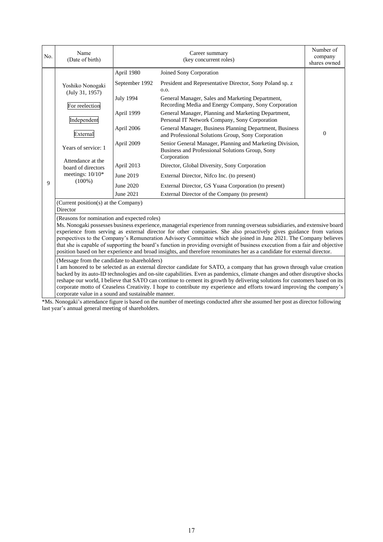| No. | Name<br>(Date of birth)                                                                                                                                                                                                                                                                                                                                                                                                                                                                                                                                                                                                                                                                                                          |                                                                                                                                                 | Career summary<br>(key concurrent roles)                                                                                                                                                                                                                                                                                                                                                                                                                                                                                                                                                                                                                                                                                                                              | Number of<br>company<br>shares owned |  |
|-----|----------------------------------------------------------------------------------------------------------------------------------------------------------------------------------------------------------------------------------------------------------------------------------------------------------------------------------------------------------------------------------------------------------------------------------------------------------------------------------------------------------------------------------------------------------------------------------------------------------------------------------------------------------------------------------------------------------------------------------|-------------------------------------------------------------------------------------------------------------------------------------------------|-----------------------------------------------------------------------------------------------------------------------------------------------------------------------------------------------------------------------------------------------------------------------------------------------------------------------------------------------------------------------------------------------------------------------------------------------------------------------------------------------------------------------------------------------------------------------------------------------------------------------------------------------------------------------------------------------------------------------------------------------------------------------|--------------------------------------|--|
| 9   | Yoshiko Nonogaki<br>(July 31, 1957)<br>For reelection<br>Independent<br>External<br>Years of service: 1<br>Attendance at the<br>board of directors<br>meetings: 10/10*<br>$(100\%)$                                                                                                                                                                                                                                                                                                                                                                                                                                                                                                                                              | April 1980<br>September 1992<br><b>July 1994</b><br>April 1999<br>April 2006<br>April 2009<br>April 2013<br>June 2019<br>June 2020<br>June 2021 | Joined Sony Corporation<br>President and Representative Director, Sony Poland sp. z<br>0.0.<br>General Manager, Sales and Marketing Department,<br>Recording Media and Energy Company, Sony Corporation<br>General Manager, Planning and Marketing Department,<br>Personal IT Network Company, Sony Corporation<br>General Manager, Business Planning Department, Business<br>and Professional Solutions Group, Sony Corporation<br>Senior General Manager, Planning and Marketing Division,<br>Business and Professional Solutions Group, Sony<br>Corporation<br>Director, Global Diversity, Sony Corporation<br>External Director, Nifco Inc. (to present)<br>External Director, GS Yuasa Corporation (to present)<br>External Director of the Company (to present) | $\mathbf{0}$                         |  |
|     | (Current position(s) at the Company)<br>Director                                                                                                                                                                                                                                                                                                                                                                                                                                                                                                                                                                                                                                                                                 |                                                                                                                                                 |                                                                                                                                                                                                                                                                                                                                                                                                                                                                                                                                                                                                                                                                                                                                                                       |                                      |  |
|     | (Reasons for nomination and expected roles)<br>Ms. Nonogaki possesses business experience, managerial experience from running overseas subsidiaries, and extensive board<br>experience from serving as external director for other companies. She also proactively gives guidance from various<br>perspectives to the Company's Remuneration Advisory Committee which she joined in June 2021. The Company believes<br>that she is capable of supporting the board's function in providing oversight of business execution from a fair and objective<br>position based on her experience and broad insights, and therefore renominates her as a candidate for external director.<br>(Message from the candidate to shareholders) |                                                                                                                                                 |                                                                                                                                                                                                                                                                                                                                                                                                                                                                                                                                                                                                                                                                                                                                                                       |                                      |  |
|     | I am honored to be selected as an external director candidate for SATO, a company that has grown through value creation<br>backed by its auto-ID technologies and on-site capabilities. Even as pandemics, climate changes and other disruptive shocks<br>reshape our world, I believe that SATO can continue to cement its growth by delivering solutions for customers based on its<br>corporate motto of Ceaseless Creativity. I hope to contribute my experience and efforts toward improving the company's<br>corporate value in a sound and sustainable manner.<br>*M. Minimulate the days from the coding the number of mostly resident definite account dependent of display following                                   |                                                                                                                                                 |                                                                                                                                                                                                                                                                                                                                                                                                                                                                                                                                                                                                                                                                                                                                                                       |                                      |  |

\*Ms. Nonogaki's attendance figure is based on the number of meetings conducted after she assumed her post as director following last year's annual general meeting of shareholders.